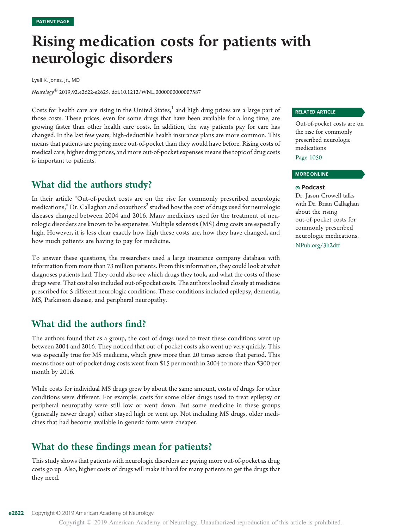# Rising medication costs for patients with neurologic disorders

Lyell K. Jones, Jr., MD

Neurology® 2019;92:e2622-e2625. doi[:10.1212/WNL.0000000000007587](http://dx.doi.org/10.1212/WNL.0000000000007587)

Costs for health care are rising in the United States, $\frac{1}{2}$  and high drug prices are a large part of those costs. These prices, even for some drugs that have been available for a long time, are growing faster than other health care costs. In addition, the way patients pay for care has changed. In the last few years, high-deductible health insurance plans are more common. This means that patients are paying more out-of-pocket than they would have before. Rising costs of medical care, higher drug prices, and more out-of-pocket expenses means the topic of drug costs is important to patients.

## What did the authors study?

In their article "Out-of-pocket costs are on the rise for commonly prescribed neurologic medications," Dr. Callaghan and coauthors<sup>2</sup> studied how the cost of drugs used for neurologic diseases changed between 2004 and 2016. Many medicines used for the treatment of neurologic disorders are known to be expensive. Multiple sclerosis (MS) drug costs are especially high. However, it is less clear exactly how high these costs are, how they have changed, and how much patients are having to pay for medicine.

To answer these questions, the researchers used a large insurance company database with information from more than 73 million patients. From this information, they could look at what diagnoses patients had. They could also see which drugs they took, and what the costs of those drugs were. That cost also included out-of-pocket costs. The authors looked closely at medicine prescribed for 5 different neurologic conditions. These conditions included epilepsy, dementia, MS, Parkinson disease, and peripheral neuropathy.

## What did the authors find?

The authors found that as a group, the cost of drugs used to treat these conditions went up between 2004 and 2016. They noticed that out-of-pocket costs also went up very quickly. This was especially true for MS medicine, which grew more than 20 times across that period. This means those out-of-pocket drug costs went from \$15 per month in 2004 to more than \$300 per month by 2016.

While costs for individual MS drugs grew by about the same amount, costs of drugs for other conditions were different. For example, costs for some older drugs used to treat epilepsy or peripheral neuropathy were still low or went down. But some medicine in these groups (generally newer drugs) either stayed high or went up. Not including MS drugs, older medicines that had become available in generic form were cheaper.

## What do these findings mean for patients?

This study shows that patients with neurologic disorders are paying more out-of-pocket as drug costs go up. Also, higher costs of drugs will make it hard for many patients to get the drugs that they need.

### RELATED ARTICLE

Out-of-pocket costs are on the rise for commonly prescribed neurologic medications

Page 1050

#### MORE ONLINE

#### ® Podcast

Dr. Jason Crowell talks with Dr. Brian Callaghan about the rising out-of-pocket costs for commonly prescribed neurologic medications. [NPub.org/3h2dtf](http://NPub.org/3h2dtf)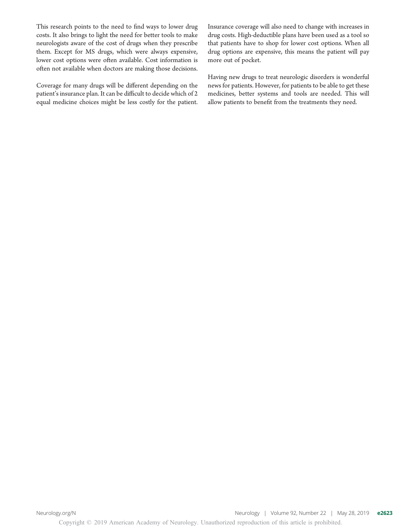This research points to the need to find ways to lower drug costs. It also brings to light the need for better tools to make neurologists aware of the cost of drugs when they prescribe them. Except for MS drugs, which were always expensive, lower cost options were often available. Cost information is often not available when doctors are making those decisions.

Coverage for many drugs will be different depending on the patient's insurance plan. It can be difficult to decide which of 2 equal medicine choices might be less costly for the patient. Insurance coverage will also need to change with increases in drug costs. High-deductible plans have been used as a tool so that patients have to shop for lower cost options. When all drug options are expensive, this means the patient will pay more out of pocket.

Having new drugs to treat neurologic disorders is wonderful news for patients. However, for patients to be able to get these medicines, better systems and tools are needed. This will allow patients to benefit from the treatments they need.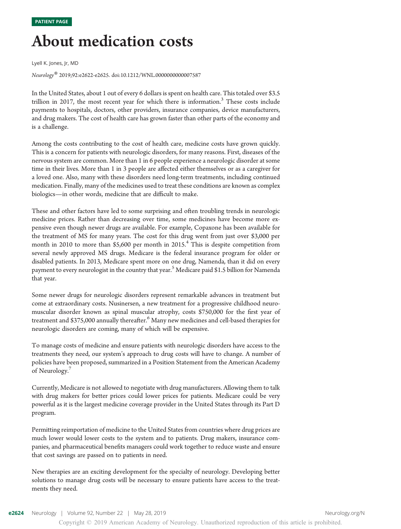# About medication costs

Lyell K. Jones, Jr, MD

Neurology® 2019;92:e2622-e2625. doi[:10.1212/WNL.0000000000007587](http://dx.doi.org/10.1212/WNL.0000000000007587)

In the United States, about 1 out of every 6 dollars is spent on health care. This totaled over \$3.5 trillion in 2017, the most recent year for which there is information.<sup>3</sup> These costs include payments to hospitals, doctors, other providers, insurance companies, device manufacturers, and drug makers. The cost of health care has grown faster than other parts of the economy and is a challenge.

Among the costs contributing to the cost of health care, medicine costs have grown quickly. This is a concern for patients with neurologic disorders, for many reasons. First, diseases of the nervous system are common. More than 1 in 6 people experience a neurologic disorder at some time in their lives. More than 1 in 3 people are affected either themselves or as a caregiver for a loved one. Also, many with these disorders need long-term treatments, including continued medication. Finally, many of the medicines used to treat these conditions are known as complex biologics—in other words, medicine that are difficult to make.

These and other factors have led to some surprising and often troubling trends in neurologic medicine prices. Rather than decreasing over time, some medicines have become more expensive even though newer drugs are available. For example, Copaxone has been available for the treatment of MS for many years. The cost for this drug went from just over \$3,000 per month in 2010 to more than  $$5,600$  per month in 2015.<sup>4</sup> This is despite competition from several newly approved MS drugs. Medicare is the federal insurance program for older or disabled patients. In 2013, Medicare spent more on one drug, Namenda, than it did on every payment to every neurologist in the country that year.<sup>5</sup> Medicare paid \$1.5 billion for Namenda that year.

Some newer drugs for neurologic disorders represent remarkable advances in treatment but come at extraordinary costs. Nusinersen, a new treatment for a progressive childhood neuromuscular disorder known as spinal muscular atrophy, costs \$750,000 for the first year of treatment and \$375,000 annually thereafter.<sup>6</sup> Many new medicines and cell-based therapies for neurologic disorders are coming, many of which will be expensive.

To manage costs of medicine and ensure patients with neurologic disorders have access to the treatments they need, our system's approach to drug costs will have to change. A number of policies have been proposed, summarized in a Position Statement from the American Academy of Neurology.<sup>7</sup>

Currently, Medicare is not allowed to negotiate with drug manufacturers. Allowing them to talk with drug makers for better prices could lower prices for patients. Medicare could be very powerful as it is the largest medicine coverage provider in the United States through its Part D program.

Permitting reimportation of medicine to the United States from countries where drug prices are much lower would lower costs to the system and to patients. Drug makers, insurance companies, and pharmaceutical benefits managers could work together to reduce waste and ensure that cost savings are passed on to patients in need.

New therapies are an exciting development for the specialty of neurology. Developing better solutions to manage drug costs will be necessary to ensure patients have access to the treatments they need.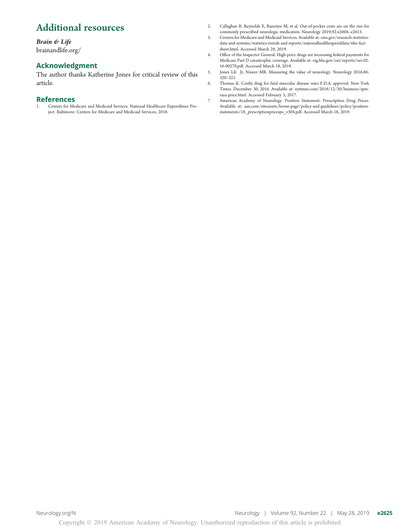## Additional resources

### Brain & Life

[brainandlife.org/](https://www.brainandlife.org/)

### Acknowledgment

The author thanks Katherine Jones for critical review of this article.

## **References**<br>1. Centers for Me

1. Centers for Medicare and Medicaid Services. National Healthcare Expenditure Project. Baltimore: Centers for Medicare and Medicaid Services; 2018.

- 2. Callaghan B, Reynolds E, Banerjee M, et al. Out-of-pocket costs are on the rise for commonly prescribed neurologic medication. Neurology 2019;92:e2604–e2613.
- 3. Centers for Medicare and Medicaid Services. Available at: [cms.gov/research-statistics-](https://www.cms.gov/research-statistics-data-and-systems/statistics-trends-and-reports/nationalhealthexpenddata/nhe-fact-sheet.html) $\label{thm:ad} data\mbox{-}and\mbox{-}systems/statistics\mbox{-}tends\mbox{-}and\mbox{-}reports/nationalheal theoryend data/nhe\mbox{-}fact\mbox{-}fact$ [sheet.html.](https://www.cms.gov/research-statistics-data-and-systems/statistics-trends-and-reports/nationalhealthexpenddata/nhe-fact-sheet.html) Accessed March 29, 2019.
- 4. Office of the Inspector General. High-price drugs are increasing federal payments for Medicare Part D catastrophic coverage. Available at: [oig.hhs.gov/oei/reports/oei-02-](https://oig.hhs.gov/oei/reports/oei-02-16-00270.pdf) [16-00270.pdf](https://oig.hhs.gov/oei/reports/oei-02-16-00270.pdf). Accessed March 18, 2019.
- 5. Jones LK Jr, Nuwer MR. Measuring the value of neurology. Neurology 2016;86: 320–321.
- 6. Thomas K. Costly drug for fatal muscular disease wins F.D.A. approval. New York Times. December 30, 2016. Available at: [nytimes.com/2016/12/30/business/spin](https://www.nytimes.com/2016/12/30/business/spinraza-price.html)[raza-price.html.](https://www.nytimes.com/2016/12/30/business/spinraza-price.html) Accessed February 3, 2017.
- 7. American Academy of Neurology. Position Statement: Prescription Drug Prices. Available at: [aan.com/siteassets/home-page/policy-and-guidelines/policy/position](http://www.aan.com/siteassets/home-page/policy-and-guidelines/policy/position-statements/18_prescriptionpricesps_v304.pdf)[statements/18\\_prescriptionpricesps\\_v304.pdf.](http://www.aan.com/siteassets/home-page/policy-and-guidelines/policy/position-statements/18_prescriptionpricesps_v304.pdf) Accessed March 18, 2019.